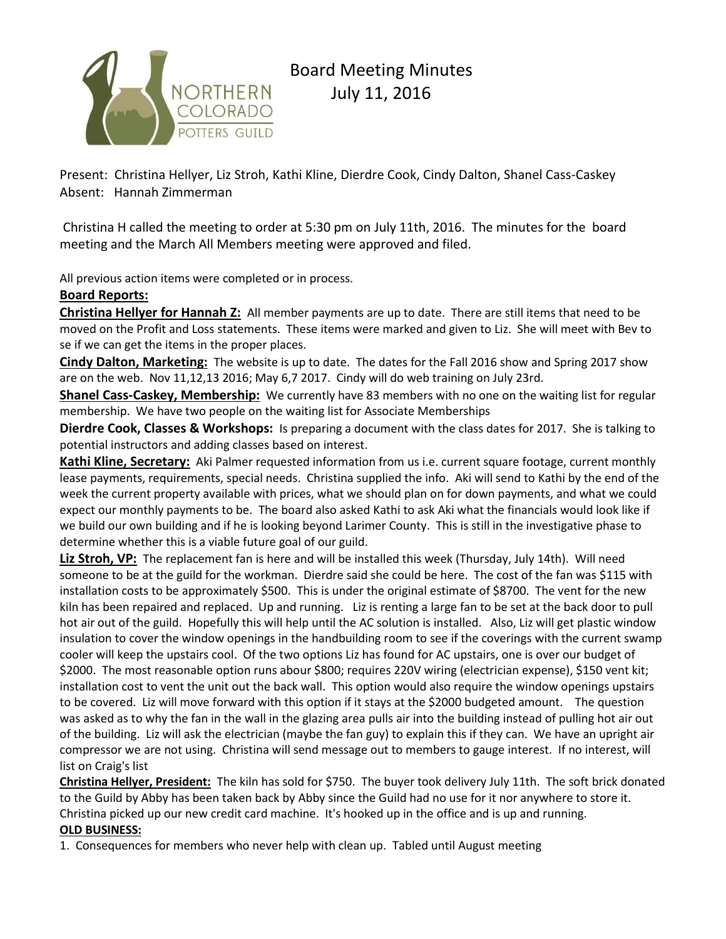

# Board Meeting Minutes July 11, 2016

Present: Christina Hellyer, Liz Stroh, Kathi Kline, Dierdre Cook, Cindy Dalton, Shanel Cass-Caskey Absent: Hannah Zimmerman

Christina H called the meeting to order at 5:30 pm on July 11th, 2016. The minutes for the board meeting and the March All Members meeting were approved and filed.

All previous action items were completed or in process.

# **Board Reports:**

**Christina Hellyer for Hannah Z:** All member payments are up to date. There are still items that need to be moved on the Profit and Loss statements. These items were marked and given to Liz. She will meet with Bev to se if we can get the items in the proper places.

**Cindy Dalton, Marketing:** The website is up to date. The dates for the Fall 2016 show and Spring 2017 show are on the web. Nov 11,12,13 2016; May 6,7 2017. Cindy will do web training on July 23rd.

**Shanel Cass-Caskey, Membership:** We currently have 83 members with no one on the waiting list for regular membership. We have two people on the waiting list for Associate Memberships

**Dierdre Cook, Classes & Workshops:** Is preparing a document with the class dates for 2017. She is talking to potential instructors and adding classes based on interest.

**Kathi Kline, Secretary:** Aki Palmer requested information from us i.e. current square footage, current monthly lease payments, requirements, special needs. Christina supplied the info. Aki will send to Kathi by the end of the week the current property available with prices, what we should plan on for down payments, and what we could expect our monthly payments to be. The board also asked Kathi to ask Aki what the financials would look like if we build our own building and if he is looking beyond Larimer County. This is still in the investigative phase to determine whether this is a viable future goal of our guild.

**Liz Stroh, VP:** The replacement fan is here and will be installed this week (Thursday, July 14th). Will need someone to be at the guild for the workman. Dierdre said she could be here. The cost of the fan was \$115 with installation costs to be approximately \$500. This is under the original estimate of \$8700. The vent for the new kiln has been repaired and replaced. Up and running. Liz is renting a large fan to be set at the back door to pull hot air out of the guild. Hopefully this will help until the AC solution is installed. Also, Liz will get plastic window insulation to cover the window openings in the handbuilding room to see if the coverings with the current swamp cooler will keep the upstairs cool. Of the two options Liz has found for AC upstairs, one is over our budget of \$2000. The most reasonable option runs abour \$800; requires 220V wiring (electrician expense), \$150 vent kit; installation cost to vent the unit out the back wall. This option would also require the window openings upstairs to be covered. Liz will move forward with this option if it stays at the \$2000 budgeted amount. The question was asked as to why the fan in the wall in the glazing area pulls air into the building instead of pulling hot air out of the building. Liz will ask the electrician (maybe the fan guy) to explain this if they can. We have an upright air compressor we are not using. Christina will send message out to members to gauge interest. If no interest, will list on Craig's list

**Christina Hellyer, President:** The kiln has sold for \$750. The buyer took delivery July 11th. The soft brick donated to the Guild by Abby has been taken back by Abby since the Guild had no use for it nor anywhere to store it. Christina picked up our new credit card machine. It's hooked up in the office and is up and running. **OLD BUSINESS:**

1. Consequences for members who never help with clean up. Tabled until August meeting